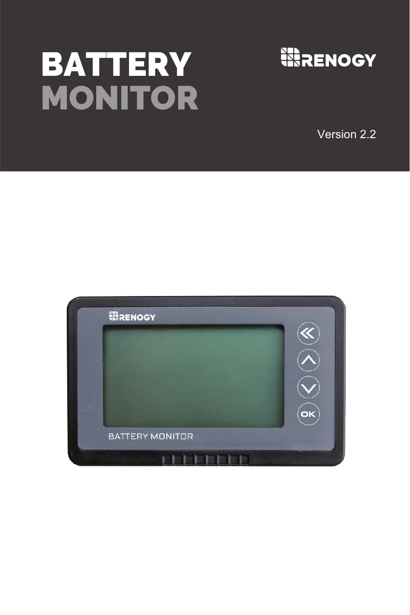# **BATTERY MONITOR**



Version 2.2

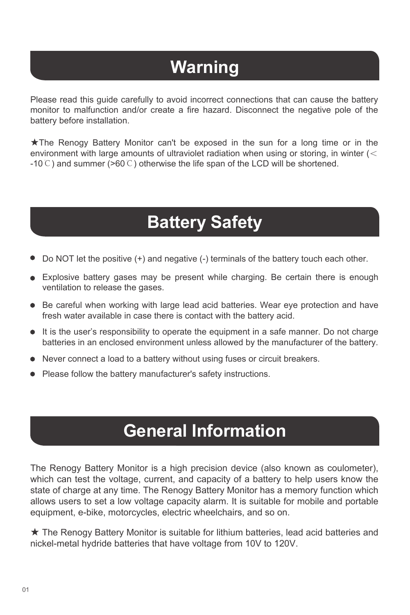# **Warning**

Please read this guide carefully to avoid incorrect connections that can cause the battery monitor to malfunction and/or create a fire hazard. Disconnect the negative pole of the battery before installation.

★The Renogy Battery Monitor can't be exposed in the sun for a long time or in the environment with large amounts of ultraviolet radiation when using or storing, in winter (< -10℃) and summer (>60℃) otherwise the life span of the LCD will be shortened.

# **Battery Safety**

- Do NOT let the positive (+) and negative (-) terminals of the battery touch each other.
- Explosive battery gases may be present while charging. Be certain there is enough ventilation to release the gases.
- Be careful when working with large lead acid batteries. Wear eye protection and have fresh water available in case there is contact with the battery acid.
- It is the user's responsibility to operate the equipment in a safe manner. Do not charge batteries in an enclosed environment unless allowed by the manufacturer of the battery.
- Never connect a load to a battery without using fuses or circuit breakers.
- Please follow the battery manufacturer's safety instructions.

# **General Information**

The Renogy Battery Monitor is a high precision device (also known as coulometer), which can test the voltage, current, and capacity of a battery to help users know the state of charge at any time. The Renogy Battery Monitor has a memory function which allows users to set a low voltage capacity alarm. It is suitable for mobile and portable equipment, e-bike, motorcycles, electric wheelchairs, and so on.

★ The Renogy Battery Monitor is suitable for lithium batteries, lead acid batteries and nickel-metal hydride batteries that have voltage from 10V to 120V.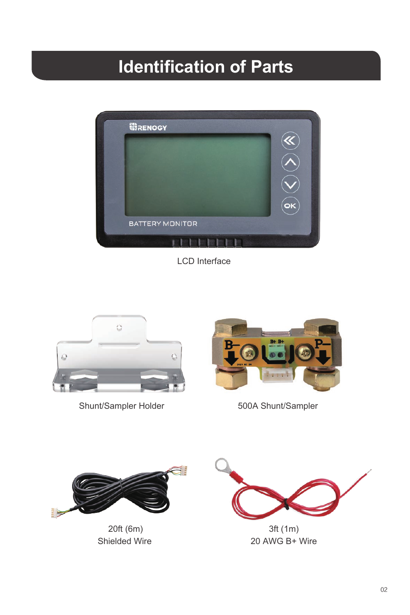# **Identification of Parts**



LCD Interface



Shunt/Sampler Holder 500A Shunt/Sampler





20ft (6m) 3ft (1m)



Shielded Wire 20 AWG B+ Wire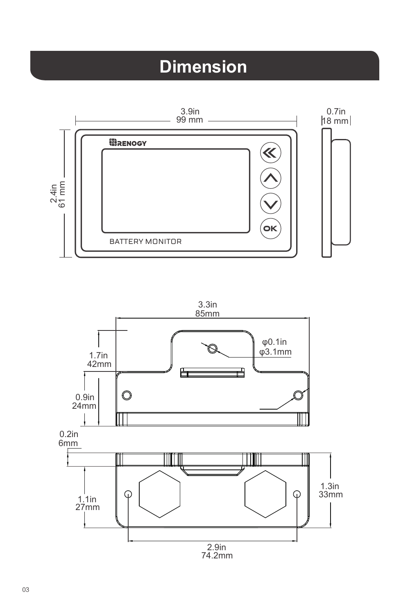# **Dimension**



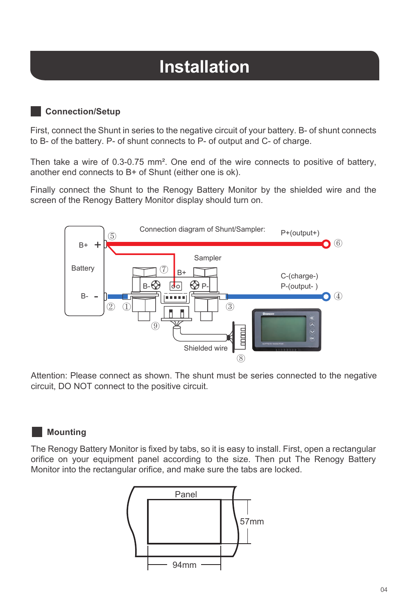# **Installation**

### **Connection/Setup**

First, connect the Shunt in series to the negative circuit of your battery. B- of shunt connects to B- of the battery. P- of shunt connects to P- of output and C- of charge.

Then take a wire of 0.3-0.75 mm². One end of the wire connects to positive of battery, another end connects to B+ of Shunt (either one is ok).

Finally connect the Shunt to the Renogy Battery Monitor by the shielded wire and the screen of the Renogy Battery Monitor display should turn on.



Attention: Please connect as shown. The shunt must be series connected to the negative circuit, DO NOT connect to the positive circuit.

### **Mounting**

The Renogy Battery Monitor is fixed by tabs, so it is easy to install. First, open a rectangular orifice on your equipment panel according to the size. Then put The Renogy Battery Monitor into the rectangular orifice, and make sure the tabs are locked.

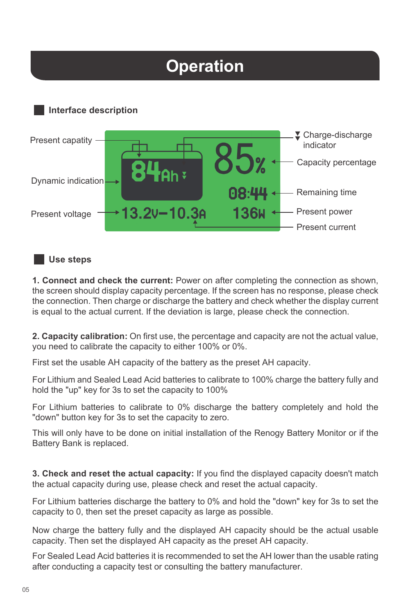# **Operation**





### **Use steps**

**1. Connect and check the current:** Power on after completing the connection as shown, the screen should display capacity percentage. If the screen has no response, please check the connection. Then charge or discharge the battery and check whether the display current is equal to the actual current. If the deviation is large, please check the connection.

**2. Capacity calibration:** On first use, the percentage and capacity are not the actual value, you need to calibrate the capacity to either 100% or 0%.

First set the usable AH capacity of the battery as the preset AH capacity.

For Lithium and Sealed Lead Acid batteries to calibrate to 100% charge the battery fully and hold the "up" key for 3s to set the capacity to 100%

For Lithium batteries to calibrate to 0% discharge the battery completely and hold the "down" button key for 3s to set the capacity to zero.

This will only have to be done on initial installation of the Renogy Battery Monitor or if the Battery Bank is replaced.

**3. Check and reset the actual capacity:** If you find the displayed capacity doesn't match the actual capacity during use, please check and reset the actual capacity.

For Lithium batteries discharge the battery to 0% and hold the "down" key for 3s to set the capacity to 0, then set the preset capacity as large as possible.

Now charge the battery fully and the displayed AH capacity should be the actual usable capacity. Then set the displayed AH capacity as the preset AH capacity.

For Sealed Lead Acid batteries it is recommended to set the AH lower than the usable rating after conducting a capacity test or consulting the battery manufacturer.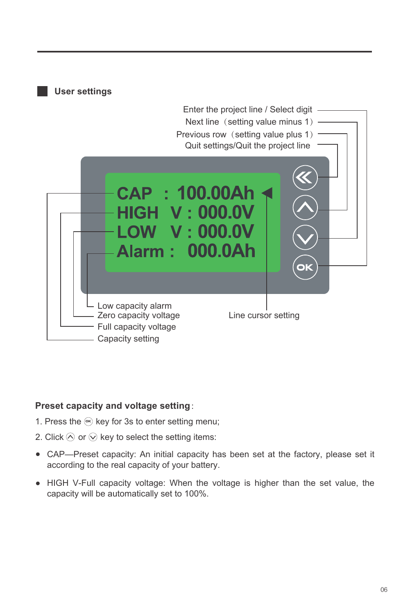

#### **Preset capacity and voltage setting**:

- 1. Press the  $\mathfrak{S}$  key for 3s to enter setting menu;
- 2. Click  $\Diamond$  or  $\Diamond$  key to select the setting items:
- CAP—Preset capacity: An initial capacity has been set at the factory, please set it according to the real capacity of your battery.
- HIGH V-Full capacity voltage: When the voltage is higher than the set value, the capacity will be automatically set to 100%.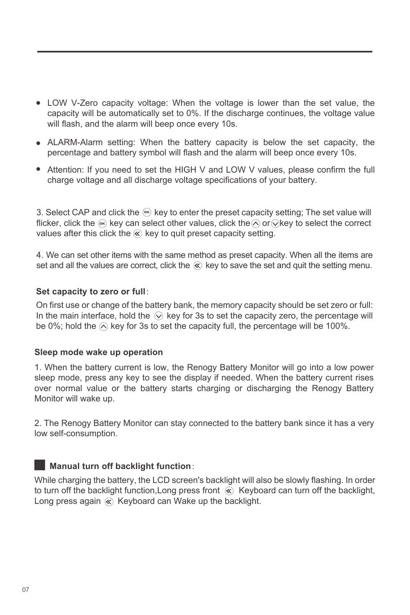- LOW V-Zero capacity voltage: When the voltage is lower than the set value, the capacity will be automatically set to 0%. If the discharge continues, the voltage value will flash, and the alarm will beep once every 10s.
- ALARM-Alarm setting: When the battery capacity is below the set capacity, the percentage and battery symbol will flash and the alarm will beep once every 10s.
- Attention: If you need to set the HIGH V and LOW V values, please confirm the full charge voltage and all discharge voltage specifications of your battery.

3. Select CAP and click the key to enter the preset capacity setting; The set value will **ok** flicker, click the  $\textcircled{\tiny{\text{e}}}$  key can select other values, click the $\textcircled{\tiny{\text{o}}}$  or  $\textcircled{\tiny{\text{e}}}$  key to select the correct values after this click the  $\otimes$  key to quit preset capacity setting.

4. We can set other items with the same method as preset capacity. When all the items are set and all the values are correct, click the  $\mathcal R$  key to save the set and quit the setting menu.

#### **Set capacity to zero or full**:

On first use or change of the battery bank, the memory capacity should be set zero or full: In the main interface, hold the  $\heartsuit$  key for 3s to set the capacity zero, the percentage will be 0%; hold the  $\odot$  key for 3s to set the capacity full, the percentage will be 100%.

#### **Sleep mode wake up operation**

1. When the battery current is low, the Renogy Battery Monitor will go into a low power sleep mode, press any key to see the display if needed. When the battery current rises over normal value or the battery starts charging or discharging the Renogy Battery Monitor will wake up.

2. The Renogy Battery Monitor can stay connected to the battery bank since it has a very low self-consumption.

### **Manual turn off backlight function**:

While charging the battery, the LCD screen's backlight will also be slowly flashing. In order to turn off the backlight function, Long press front  $\mathcal{R}$  Keyboard can turn off the backlight, Long press again  $\otimes$  Keyboard can Wake up the backlight.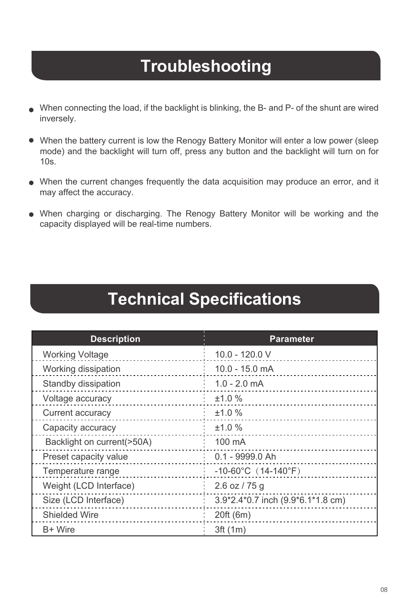# **Troubleshooting**

- When connecting the load, if the backlight is blinking, the B- and P- of the shunt are wired inversely.
- When the battery current is low the Renogy Battery Monitor will enter a low power (sleep mode) and the backlight will turn off, press any button and the backlight will turn on for 10s.
- When the current changes frequently the data acquisition may produce an error, and it may affect the accuracy.
- When charging or discharging. The Renogy Battery Monitor will be working and the capacity displayed will be real-time numbers.

### **Technical Specifications**

| <b>Description</b>         | <b>Parameter</b>                  |
|----------------------------|-----------------------------------|
| <b>Working Voltage</b>     | 10.0 - 120.0 V                    |
| Working dissipation        | $10.0 - 15.0$ mA                  |
| Standby dissipation        | $1.0 - 2.0$ mA                    |
| Voltage accuracy           | ±1.0%                             |
| Current accuracy           | ±1.0%                             |
| Capacity accuracy          | ±1.0%                             |
| Backlight on current(>50A) | 100 mA                            |
| Preset capacity value      | 0.1 - 9999.0 Ah                   |
| Temperature range          | $-10-60^{\circ}$ C (14-140°F)     |
| Weight (LCD Interface)     | $2.6$ oz / 75 g                   |
| Size (LCD Interface)       | 3.9*2.4*0.7 inch (9.9*6.1*1.8 cm) |
| Shielded Wire              | 20ft (6m)                         |
| B+ Wire                    | 3ft (1m)                          |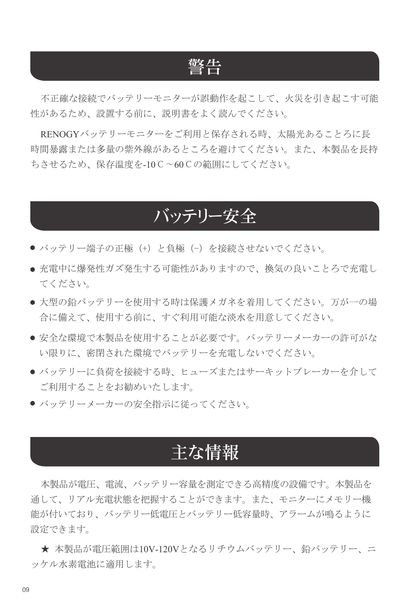### 警告

不正確な接続でバッテリーモニターが誤動作を起こして、火災を引き起こす可能 性があるため、設置する前に、説明書をよく読んでください。

RENOGYバッテリーモニターをご利用と保存される時、太陽光あることろに長 時間暴露または多量の紫外線があるところを避けてください。また、本製品を長持 ちさせるため、保存温度を-10℃~60℃の範囲にしてください。

### バッテリー安全

- バッテリー端子の正極 (+) と負極 (-) を接続させないでください。
- 充電中に爆発性ガズ発生する可能性がありますので、換気の良いことろで充電し てください。
- 大型の鉛バッテリーを使用する時は保護メガネを着用してください。万が一の場 合に備えて、使用する前に、すぐ利用可能な淡水を用意してください。
- 安全な環境で本製品を使用することが必要です。バッテリーメーカーの許可がな い限りに、密閉された環境でバッテリーを充電しないでください。
- バッテリーに負荷を接続する時、ヒューズまたはサーキットブレーカーを介して ご利用することをお勧めいたします。
- バッテリーメーカーの安全指示に従ってください。

### 主な情報

本製品が電圧、電流、バッテリー容量を測定できる高精度の設備です。本製品を 通して、リアル充電状態を把握することができます。また、モニターにメモリー機 能が付いており、バッテリー低電圧とバッテリー低容量時、アラームが鳴るように 設定できます。

★ 本製品が電圧範囲は10V-120Vとなるリチウムバッテリー、鉛バッテリー、ニ ッケル水素電池に適用します。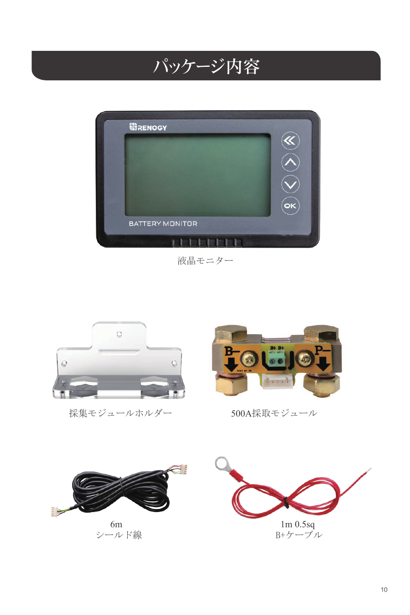# パッケージ内容



液晶モニター



採集モジュールホルダー 500A採取モジュール





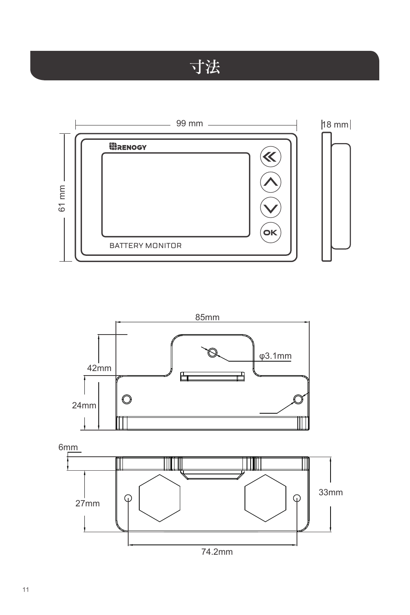# 寸法



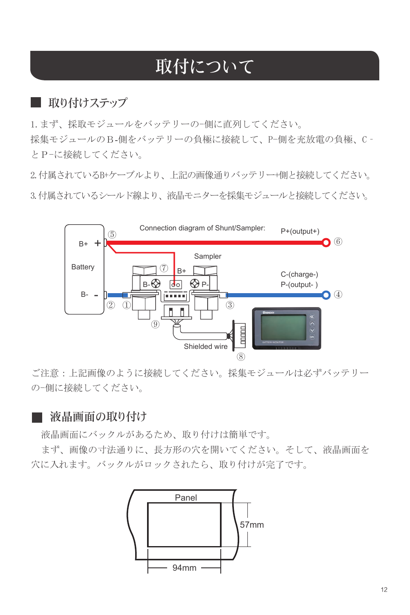# 取付について

### ■ 取り付けステップ

1. まず、採取モジュールをバッテリーの-側に直列してください。 採集モジュールのB-側をバッテリーの負極に接続して、P-側を充放電の負極、C‐ とP-に接続してください。

2.付属されているB+ケーブルより、上記の画像通りバッテリー+側と接続してください。 3.付属されているシールド線より、液晶モニターを採集モジュールと接続してください。



ご注意:上記画像のように接続してください。採集モジュールは必ずバッテリー の-側に接続してください。

### ■ 液晶画面の取り付け

液晶画面にバックルがあるため、取り付けは簡単です。

まず、画像の寸法通りに、長方形の穴を開いてください。そして、液晶画面を 穴に入れます。バックルがロックされたら、取り付けが完了です。

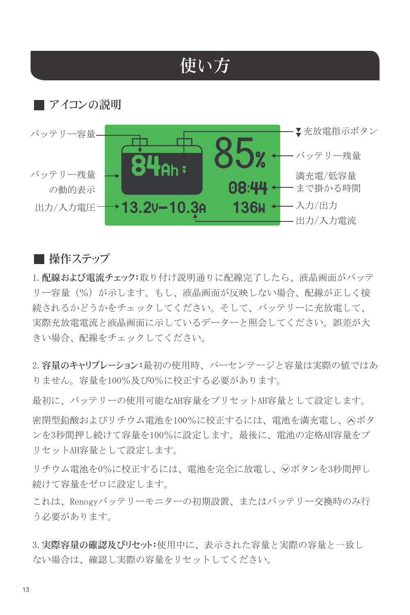# 使い方



### ■ 操作ステップ

1.配線および電流チェック:取り付け説明通りに配線完了したら、液晶画面がバッテ リー容量(%)が示します。もし、液晶画面が反映しない場合、配線が正しく接 続されるかどうかをチェックしてください。そして、バッテリーに充放電して、 実際充放電電流と液晶画面に示しているデーターと照会してください。誤差が大 きい場合、配線をチェックしてください。

2.容量のキャリブレーション:最初の使用時、パーセンテージと容量は実際の値ではあ りません。容量を100%及び0%に校正する必要があります。

最初に、バッテリーの使用可能なAH容量をプリセットAH容量として設定します。

密閉型鉛酸およびリチウム電池を100%に校正するには、電池を満充電し、 へボタ ンを3秒間押し続けて容量を100%に設定します。最後に、電池の定格AH容量をプ リセットAH容量として設定します。

リチウム電池を0%に校正するには、電池を完全に放電し、√ボタンを3秒間押し 続けて容量をゼロに設定します。

これは、Renogyバッテリーモニターの初期設置、またはバッテリー交換時のみ行 う必要があります。

3.実際容量の確認及びリセット:使用中に、表示された容量と実際の容量と一致し ない場合は、確認し実際の容量をリセットしてください。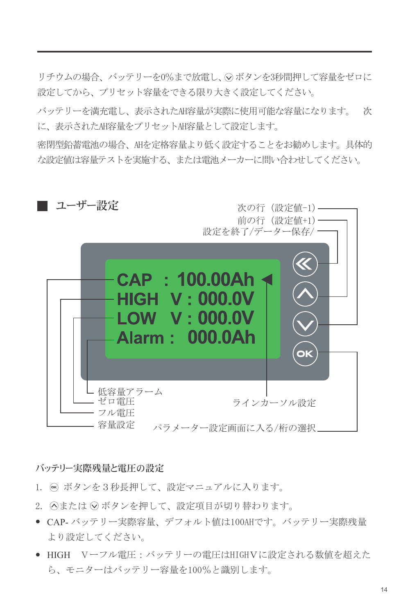リチウムの場合、バッテリーを0%まで放電し、○ボタンを3秒間押して容量をゼロに 設定してから、プリセット容量をできる限り大きく設定してください。

バッテリーを満充電し、表示されたAH容量が実際に使用可能な容量になります。 次 に、表示されたAH容量をプリセットAH容量として設定します。

密閉型鉛蓄電池の場合、AHを定格容量より低く設定することをお勧めします。具体的 な設定値は容量テストを実施する、または電池メーカーに問い合わせしてください。



#### バッテリー実際残量と電圧の設定

- 1. **@ ボタンを3秒長押して、設定マニュアルに入ります。**
- 2. ⊙または ⊙ボタンを押して、設定項目が切り替わります。
- CAP-バッテリー実際容量、デフォルト値は100AHです。バッテリー実際残量 より設定してください。
- HIGH Vーフル電圧:バッテリーの電圧はHIGHVに設定される数値を超えた ら、モニターはバッテリー容量を100%と識別します。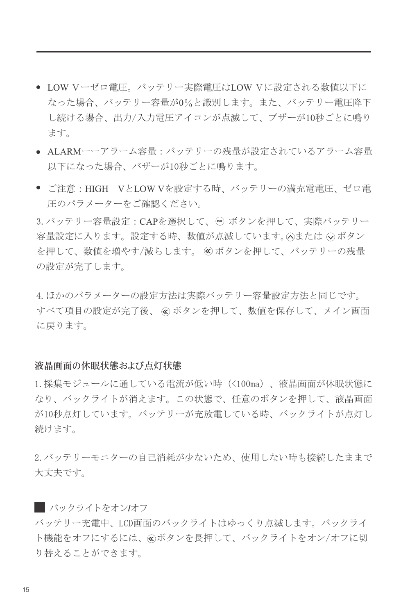- LOW Vーゼロ電圧。バッテリー実際電圧はLOW Vに設定される数値以下に なった場合、バッテリー容量が0%と識別します。また、バッテリー電圧降下 し続ける場合、出力/入力電圧アイコンが点滅して、ブザーが10秒ごとに鳴り ます。
- ALARMーーアラーム容量:バッテリーの残量が設定されているアラーム容量 以下になった場合、バザーが10秒ごとに鳴ります。
- ご注意: HIGH VとLOW Vを設定する時、バッテリーの満充電電圧、ゼロ電 圧のパラメーターをご確認ください。

3. バッテリー容量設定 : CAPを選択して、 ❸ ボタンを押して、実際バッテリー 容量設定に入ります。設定する時、数値が点滅しています。 へまたは ○ボタン を押して、数値を増やす/減らします。 ボタンを押して、バッテリーの残量 の設定が完了します。

4.ほかのパラメーターの設定方法は実際バッテリー容量設定方法と同じです。 すべて項目の設定が完了後、 ⊗ ボタンを押して、数値を保存して、メイン画面 に戻ります。

#### 液晶画面の休眠状態および点灯状態

1.採集モジュールに通している電流が低い時(<100ma)、液晶画面が休眠状態に なり、バックライトが消えます。この状態で、任意のボタンを押して、液晶画面 が10秒点灯しています。バッテリーが充放電している時、バックライトが点灯し 続けます。

2.バッテリーモニターの自己消耗が少ないため、使用しない時も接続したままで 大丈夫です。

バッテリー充電中、LCD画面のバックライトはゆっくり点滅します。バックライ ト機能をオフにするには、 ボタンを長押して、バックライトをオン/オフに切 り替えることができます。 バックライトをオン**/**オフ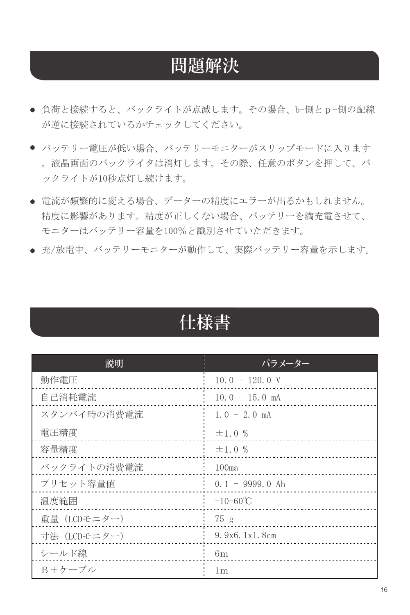## 問題解決

- 負荷と接続すると、バックライトが点滅します。その場合、b-側とp-側の配線 が逆に接続されているかチェックしてください。
- バッテリー電圧が低い場合、バッテリーモニターがスリップモードに入ります 。液晶画面のバックライタは消灯します。その際、任意のボタンを押して、バ ックライトが10秒点灯し続けます。
- 電流が頻繁的に変える場合、データーの精度にエラーが出るかもしれません。 精度に影響があります。精度が正しくない場合、バッテリーを満充電させて、 モニターはバッテリー容量を100%と識別させていただきます。
- 充/放雷中、バッテリーモニターが動作して、実際バッテリー容量を示します。

|--|

| 説明           | パラメーター             |
|--------------|--------------------|
| 動作電圧         | $10.0 - 120.0 V$   |
| 自己消耗電流       | $10.0 - 15.0$ mA   |
| スタンバイ時の消費電流  | $1.0 - 2.0$ mA     |
| 電圧精度         | $\pm 1.0 \%$       |
| 容量精度         | ±1.0%              |
| バックライトの消費電流  | 100 <sub>ma</sub>  |
| プリセット容量値     | $0.1 - 9999.0$ Ah  |
| 温度範囲         | $-10-60^{\circ}$ C |
| 重量 (LCDモニター) | 75g                |
| 寸法 (LCDモニター) | 9.9x6.1x1.8cm      |
| シールド線        | 6m                 |
| B+ケーブル       | 1 <sub>m</sub>     |